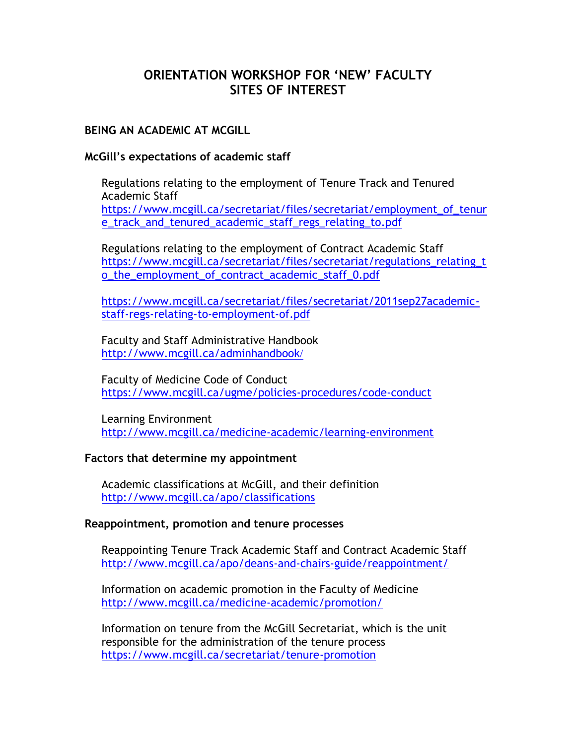# **ORIENTATION WORKSHOP FOR 'NEW' FACULTY SITES OF INTEREST**

# **BEING AN ACADEMIC AT MCGILL**

### **McGill's expectations of academic staff**

Regulations relating to the employment of Tenure Track and Tenured Academic Staff [https://www.mcgill.ca/secretariat/files/secretariat/employment\\_of\\_tenur](https://www.mcgill.ca/secretariat/files/secretariat/employment_of_tenure_track_and_tenured_academic_staff_regs_relating_to.pdf) [e\\_track\\_and\\_tenured\\_academic\\_staff\\_regs\\_relating\\_to.pdf](https://www.mcgill.ca/secretariat/files/secretariat/employment_of_tenure_track_and_tenured_academic_staff_regs_relating_to.pdf)

Regulations relating to the employment of Contract Academic Staff [https://www.mcgill.ca/secretariat/files/secretariat/regulations\\_relating\\_t](https://www.mcgill.ca/secretariat/files/secretariat/regulations_relating_to_the_employment_of_contract_academic_staff_0.pdf) o the employment of contract academic staff 0.pdf

[https://www.mcgill.ca/secretariat/files/secretariat/2011sep27academic](https://www.mcgill.ca/secretariat/files/secretariat/2011sep27academic-staff-regs-relating-to-employment-of.pdf)[staff-regs-relating-to-employment-of.pdf](https://www.mcgill.ca/secretariat/files/secretariat/2011sep27academic-staff-regs-relating-to-employment-of.pdf)

Faculty and Staff Administrative Handbook <http://www.mcgill.ca/adminhandbook>/

Faculty of Medicine Code of Conduct <https://www.mcgill.ca/ugme/policies-procedures/code-conduct>

Learning Environment <http://www.mcgill.ca/medicine-academic/learning-environment>

#### **Factors that determine my appointment**

Academic classifications at McGill, and their definition <http://www.mcgill.ca/apo/classifications>

#### **Reappointment, promotion and tenure processes**

Reappointing Tenure Track Academic Staff and Contract Academic Staff <http://www.mcgill.ca/apo/deans-and-chairs-guide/reappointment/>

Information on academic promotion in the Faculty of Medicine <http://www.mcgill.ca/medicine-academic/promotion/>

Information on tenure from the McGill Secretariat, which is the unit responsible for the administration of the tenure process <https://www.mcgill.ca/secretariat/tenure-promotion>